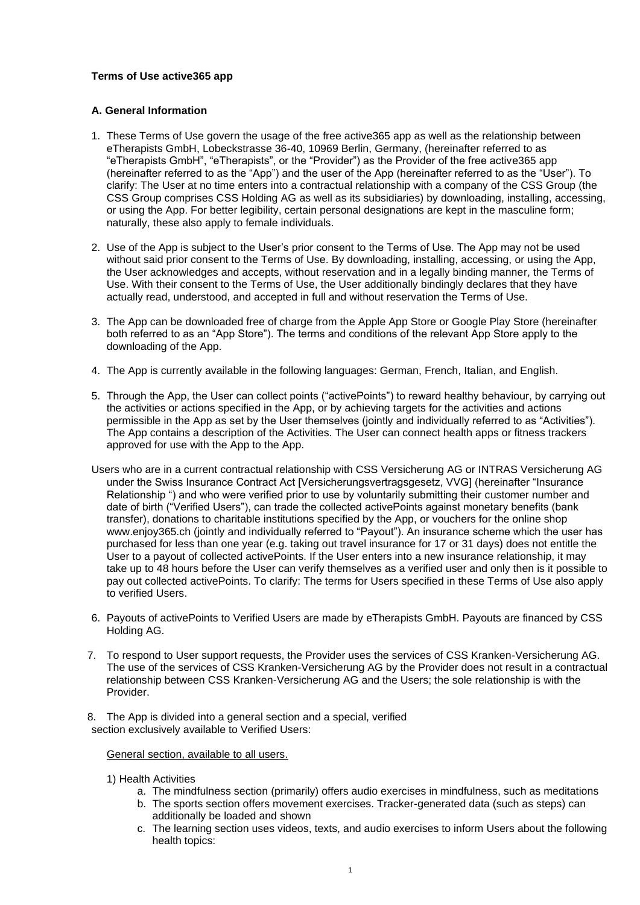# **Terms of Use active365 app**

# **A. General Information**

- 1. These Terms of Use govern the usage of the free active365 app as well as the relationship between eTherapists GmbH, Lobeckstrasse 36-40, 10969 Berlin, Germany, (hereinafter referred to as "eTherapists GmbH", "eTherapists", or the "Provider") as the Provider of the free active365 app (hereinafter referred to as the "App") and the user of the App (hereinafter referred to as the "User"). To clarify: The User at no time enters into a contractual relationship with a company of the CSS Group (the CSS Group comprises CSS Holding AG as well as its subsidiaries) by downloading, installing, accessing, or using the App. For better legibility, certain personal designations are kept in the masculine form; naturally, these also apply to female individuals.
- 2. Use of the App is subject to the User's prior consent to the Terms of Use. The App may not be used without said prior consent to the Terms of Use. By downloading, installing, accessing, or using the App, the User acknowledges and accepts, without reservation and in a legally binding manner, the Terms of Use. With their consent to the Terms of Use, the User additionally bindingly declares that they have actually read, understood, and accepted in full and without reservation the Terms of Use.
- 3. The App can be downloaded free of charge from the Apple App Store or Google Play Store (hereinafter both referred to as an "App Store"). The terms and conditions of the relevant App Store apply to the downloading of the App.
- 4. The App is currently available in the following languages: German, French, Italian, and English.
- 5. Through the App, the User can collect points ("activePoints") to reward healthy behaviour, by carrying out the activities or actions specified in the App, or by achieving targets for the activities and actions permissible in the App as set by the User themselves (jointly and individually referred to as "Activities"). The App contains a description of the Activities. The User can connect health apps or fitness trackers approved for use with the App to the App.
- Users who are in a current contractual relationship with CSS Versicherung AG or INTRAS Versicherung AG under the Swiss Insurance Contract Act [Versicherungsvertragsgesetz, VVG] (hereinafter "Insurance Relationship ") and who were verified prior to use by voluntarily submitting their customer number and date of birth ("Verified Users"), can trade the collected activePoints against monetary benefits (bank transfer), donations to charitable institutions specified by the App, or vouchers for the online shop www.enjoy365.ch (jointly and individually referred to "Payout"). An insurance scheme which the user has purchased for less than one year (e.g. taking out travel insurance for 17 or 31 days) does not entitle the User to a payout of collected activePoints. If the User enters into a new insurance relationship, it may take up to 48 hours before the User can verify themselves as a verified user and only then is it possible to pay out collected activePoints. To clarify: The terms for Users specified in these Terms of Use also apply to verified Users.
- 6. Payouts of activePoints to Verified Users are made by eTherapists GmbH. Payouts are financed by CSS Holding AG.
- 7. To respond to User support requests, the Provider uses the services of CSS Kranken-Versicherung AG. The use of the services of CSS Kranken-Versicherung AG by the Provider does not result in a contractual relationship between CSS Kranken-Versicherung AG and the Users; the sole relationship is with the Provider.
- 8. The App is divided into a general section and a special, verified section exclusively available to Verified Users:

# General section, available to all users.

- 1) Health Activities
	- a. The mindfulness section (primarily) offers audio exercises in mindfulness, such as meditations
	- b. The sports section offers movement exercises. Tracker-generated data (such as steps) can additionally be loaded and shown
	- c. The learning section uses videos, texts, and audio exercises to inform Users about the following health topics: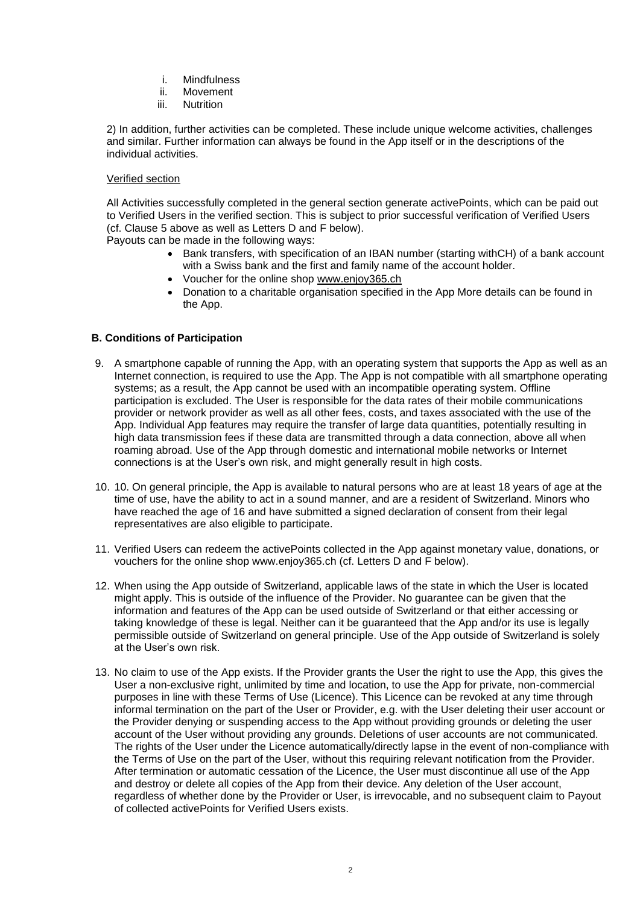- i. Mindfulness
- ii. Movement
- iii. Nutrition

2) In addition, further activities can be completed. These include unique welcome activities, challenges and similar. Further information can always be found in the App itself or in the descriptions of the individual activities.

## Verified section

All Activities successfully completed in the general section generate activePoints, which can be paid out to Verified Users in the verified section. This is subject to prior successful verification of Verified Users (cf. Clause 5 above as well as Letters D and F below).

Payouts can be made in the following ways:

- Bank transfers, with specification of an IBAN number (starting withCH) of a bank account with a Swiss bank and the first and family name of the account holder.
- Voucher for the online shop [www.enjoy365.ch](http://www.enjoy365.ch/)
- Donation to a charitable organisation specified in the App More details can be found in the App.

## **B. Conditions of Participation**

- 9. A smartphone capable of running the App, with an operating system that supports the App as well as an Internet connection, is required to use the App. The App is not compatible with all smartphone operating systems; as a result, the App cannot be used with an incompatible operating system. Offline participation is excluded. The User is responsible for the data rates of their mobile communications provider or network provider as well as all other fees, costs, and taxes associated with the use of the App. Individual App features may require the transfer of large data quantities, potentially resulting in high data transmission fees if these data are transmitted through a data connection, above all when roaming abroad. Use of the App through domestic and international mobile networks or Internet connections is at the User's own risk, and might generally result in high costs.
- 10. 10. On general principle, the App is available to natural persons who are at least 18 years of age at the time of use, have the ability to act in a sound manner, and are a resident of Switzerland. Minors who have reached the age of 16 and have submitted a signed declaration of consent from their legal representatives are also eligible to participate.
- 11. Verified Users can redeem the activePoints collected in the App against monetary value, donations, or vouchers for the online shop www.enjoy365.ch (cf. Letters D and F below).
- 12. When using the App outside of Switzerland, applicable laws of the state in which the User is located might apply. This is outside of the influence of the Provider. No guarantee can be given that the information and features of the App can be used outside of Switzerland or that either accessing or taking knowledge of these is legal. Neither can it be guaranteed that the App and/or its use is legally permissible outside of Switzerland on general principle. Use of the App outside of Switzerland is solely at the User's own risk.
- 13. No claim to use of the App exists. If the Provider grants the User the right to use the App, this gives the User a non-exclusive right, unlimited by time and location, to use the App for private, non-commercial purposes in line with these Terms of Use (Licence). This Licence can be revoked at any time through informal termination on the part of the User or Provider, e.g. with the User deleting their user account or the Provider denying or suspending access to the App without providing grounds or deleting the user account of the User without providing any grounds. Deletions of user accounts are not communicated. The rights of the User under the Licence automatically/directly lapse in the event of non-compliance with the Terms of Use on the part of the User, without this requiring relevant notification from the Provider. After termination or automatic cessation of the Licence, the User must discontinue all use of the App and destroy or delete all copies of the App from their device. Any deletion of the User account, regardless of whether done by the Provider or User, is irrevocable, and no subsequent claim to Payout of collected activePoints for Verified Users exists.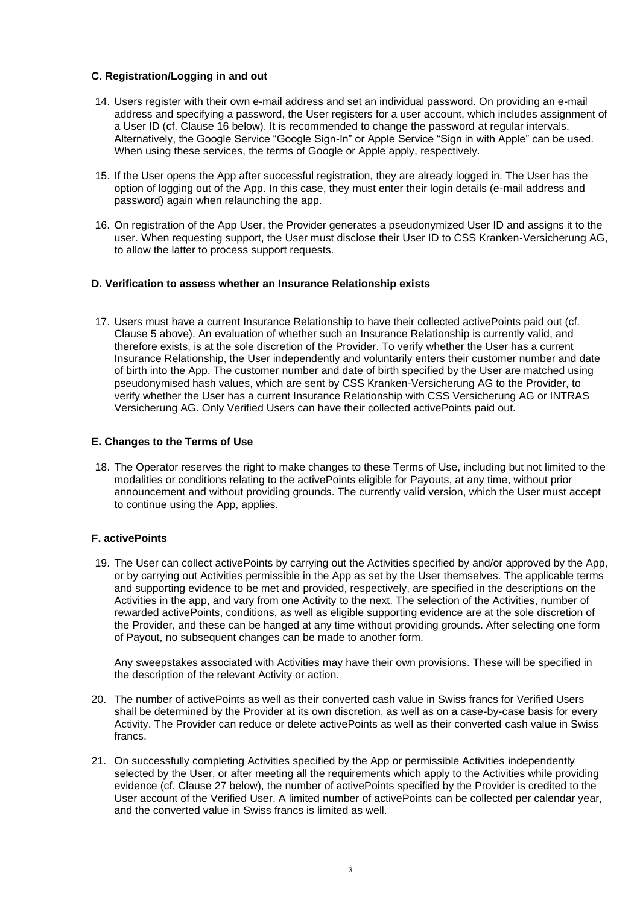# **C. Registration/Logging in and out**

- 14. Users register with their own e-mail address and set an individual password. On providing an e-mail address and specifying a password, the User registers for a user account, which includes assignment of a User ID (cf. Clause 16 below). It is recommended to change the password at regular intervals. Alternatively, the Google Service "Google Sign-In" or Apple Service "Sign in with Apple" can be used. When using these services, the terms of Google or Apple apply, respectively.
- 15. If the User opens the App after successful registration, they are already logged in. The User has the option of logging out of the App. In this case, they must enter their login details (e-mail address and password) again when relaunching the app.
- 16. On registration of the App User, the Provider generates a pseudonymized User ID and assigns it to the user. When requesting support, the User must disclose their User ID to CSS Kranken-Versicherung AG, to allow the latter to process support requests.

### **D. Verification to assess whether an Insurance Relationship exists**

17. Users must have a current Insurance Relationship to have their collected activePoints paid out (cf. Clause 5 above). An evaluation of whether such an Insurance Relationship is currently valid, and therefore exists, is at the sole discretion of the Provider. To verify whether the User has a current Insurance Relationship, the User independently and voluntarily enters their customer number and date of birth into the App. The customer number and date of birth specified by the User are matched using pseudonymised hash values, which are sent by CSS Kranken-Versicherung AG to the Provider, to verify whether the User has a current Insurance Relationship with CSS Versicherung AG or INTRAS Versicherung AG. Only Verified Users can have their collected activePoints paid out.

# **E. Changes to the Terms of Use**

18. The Operator reserves the right to make changes to these Terms of Use, including but not limited to the modalities or conditions relating to the activePoints eligible for Payouts, at any time, without prior announcement and without providing grounds. The currently valid version, which the User must accept to continue using the App, applies.

# **F. activePoints**

19. The User can collect activePoints by carrying out the Activities specified by and/or approved by the App, or by carrying out Activities permissible in the App as set by the User themselves. The applicable terms and supporting evidence to be met and provided, respectively, are specified in the descriptions on the Activities in the app, and vary from one Activity to the next. The selection of the Activities, number of rewarded activePoints, conditions, as well as eligible supporting evidence are at the sole discretion of the Provider, and these can be hanged at any time without providing grounds. After selecting one form of Payout, no subsequent changes can be made to another form.

Any sweepstakes associated with Activities may have their own provisions. These will be specified in the description of the relevant Activity or action.

- 20. The number of activePoints as well as their converted cash value in Swiss francs for Verified Users shall be determined by the Provider at its own discretion, as well as on a case-by-case basis for every Activity. The Provider can reduce or delete activePoints as well as their converted cash value in Swiss francs.
- 21. On successfully completing Activities specified by the App or permissible Activities independently selected by the User, or after meeting all the requirements which apply to the Activities while providing evidence (cf. Clause 27 below), the number of activePoints specified by the Provider is credited to the User account of the Verified User. A limited number of activePoints can be collected per calendar year, and the converted value in Swiss francs is limited as well.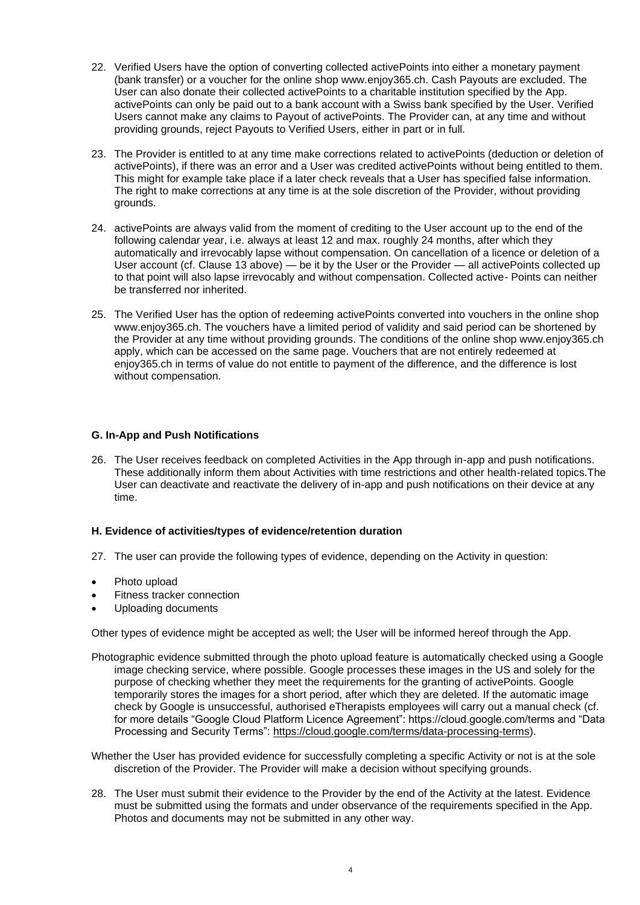- 22. Verified Users have the option of converting collected activePoints into either a monetary payment (bank transfer) or a voucher for the online shop www.enjoy365.ch. Cash Payouts are excluded. The User can also donate their collected activePoints to a charitable institution specified by the App. activePoints can only be paid out to a bank account with a Swiss bank specified by the User. Verified Users cannot make any claims to Payout of activePoints. The Provider can, at any time and without providing grounds, reject Payouts to Verified Users, either in part or in full.
- 23. The Provider is entitled to at any time make corrections related to activePoints (deduction or deletion of activePoints), if there was an error and a User was credited activePoints without being entitled to them. This might for example take place if a later check reveals that a User has specified false information. The right to make corrections at any time is at the sole discretion of the Provider, without providing grounds.
- 24. activePoints are always valid from the moment of crediting to the User account up to the end of the following calendar year, i.e. always at least 12 and max. roughly 24 months, after which they automatically and irrevocably lapse without compensation. On cancellation of a licence or deletion of a User account (cf. Clause 13 above) — be it by the User or the Provider — all activePoints collected up to that point will also lapse irrevocably and without compensation. Collected active- Points can neither be transferred nor inherited.
- 25. The Verified User has the option of redeeming activePoints converted into vouchers in the online shop www.enjoy365.ch. The vouchers have a limited period of validity and said period can be shortened by the Provider at any time without providing grounds. The conditions of the online shop www.enjoy365.ch apply, which can be accessed on the same page. Vouchers that are not entirely redeemed at enjoy365.ch in terms of value do not entitle to payment of the difference, and the difference is lost without compensation.

# **G. In-App and Push Notifications**

26. The User receives feedback on completed Activities in the App through in-app and push notifications. These additionally inform them about Activities with time restrictions and other health-related topics.The User can deactivate and reactivate the delivery of in-app and push notifications on their device at any time.

### **H. Evidence of activities/types of evidence/retention duration**

- 27. The user can provide the following types of evidence, depending on the Activity in question:
- Photo upload
- Fitness tracker connection
- Uploading documents

Other types of evidence might be accepted as well; the User will be informed hereof through the App.

- Photographic evidence submitted through the photo upload feature is automatically checked using a Google image checking service, where possible. Google processes these images in the US and solely for the purpose of checking whether they meet the requirements for the granting of activePoints. Google temporarily stores the images for a short period, after which they are deleted. If the automatic image check by Google is unsuccessful, authorised eTherapists employees will carry out a manual check (cf. for more details "Google Cloud Platform Licence Agreement": https://cloud.google.com/terms and "Data Processing and Security Terms": [https://cloud.google.com/terms/data-processing-terms\)](https://cloud.google.com/terms/data-processing-terms).
- Whether the User has provided evidence for successfully completing a specific Activity or not is at the sole discretion of the Provider. The Provider will make a decision without specifying grounds.
- 28. The User must submit their evidence to the Provider by the end of the Activity at the latest. Evidence must be submitted using the formats and under observance of the requirements specified in the App. Photos and documents may not be submitted in any other way.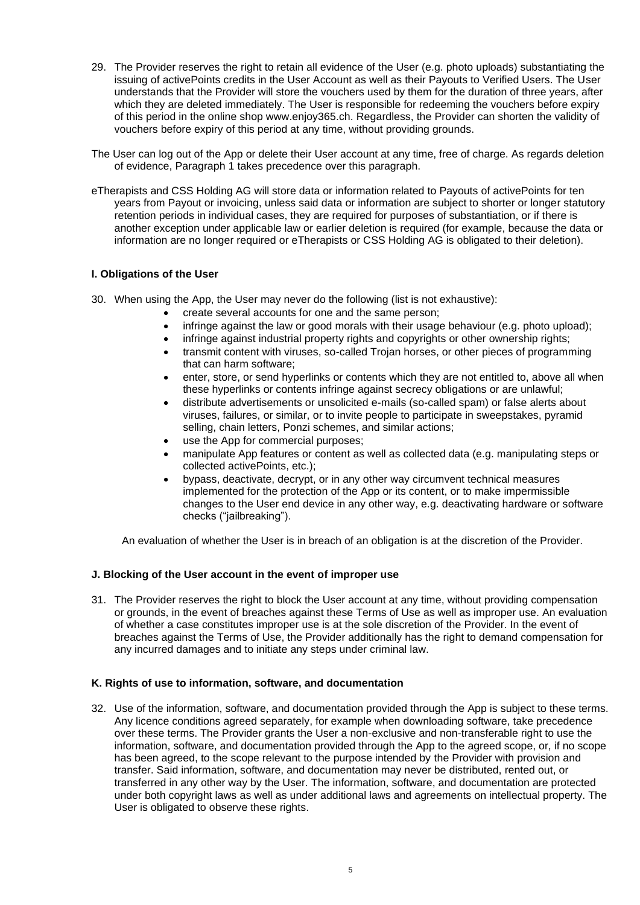- 29. The Provider reserves the right to retain all evidence of the User (e.g. photo uploads) substantiating the issuing of activePoints credits in the User Account as well as their Payouts to Verified Users. The User understands that the Provider will store the vouchers used by them for the duration of three years, after which they are deleted immediately. The User is responsible for redeeming the vouchers before expiry of this period in the online shop www.enjoy365.ch. Regardless, the Provider can shorten the validity of vouchers before expiry of this period at any time, without providing grounds.
- The User can log out of the App or delete their User account at any time, free of charge. As regards deletion of evidence, Paragraph 1 takes precedence over this paragraph.
- eTherapists and CSS Holding AG will store data or information related to Payouts of activePoints for ten years from Payout or invoicing, unless said data or information are subject to shorter or longer statutory retention periods in individual cases, they are required for purposes of substantiation, or if there is another exception under applicable law or earlier deletion is required (for example, because the data or information are no longer required or eTherapists or CSS Holding AG is obligated to their deletion).

## **I. Obligations of the User**

- 30. When using the App, the User may never do the following (list is not exhaustive):
	- create several accounts for one and the same person;
	- infringe against the law or good morals with their usage behaviour (e.g. photo upload);
	- infringe against industrial property rights and copyrights or other ownership rights;
	- transmit content with viruses, so-called Trojan horses, or other pieces of programming that can harm software;
	- enter, store, or send hyperlinks or contents which they are not entitled to, above all when these hyperlinks or contents infringe against secrecy obligations or are unlawful;
	- distribute advertisements or unsolicited e-mails (so-called spam) or false alerts about viruses, failures, or similar, or to invite people to participate in sweepstakes, pyramid selling, chain letters, Ponzi schemes, and similar actions;
	- use the App for commercial purposes:
	- manipulate App features or content as well as collected data (e.g. manipulating steps or collected activePoints, etc.);
	- bypass, deactivate, decrypt, or in any other way circumvent technical measures implemented for the protection of the App or its content, or to make impermissible changes to the User end device in any other way, e.g. deactivating hardware or software checks ("jailbreaking").

An evaluation of whether the User is in breach of an obligation is at the discretion of the Provider.

# **J. Blocking of the User account in the event of improper use**

31. The Provider reserves the right to block the User account at any time, without providing compensation or grounds, in the event of breaches against these Terms of Use as well as improper use. An evaluation of whether a case constitutes improper use is at the sole discretion of the Provider. In the event of breaches against the Terms of Use, the Provider additionally has the right to demand compensation for any incurred damages and to initiate any steps under criminal law.

### **K. Rights of use to information, software, and documentation**

32. Use of the information, software, and documentation provided through the App is subject to these terms. Any licence conditions agreed separately, for example when downloading software, take precedence over these terms. The Provider grants the User a non-exclusive and non-transferable right to use the information, software, and documentation provided through the App to the agreed scope, or, if no scope has been agreed, to the scope relevant to the purpose intended by the Provider with provision and transfer. Said information, software, and documentation may never be distributed, rented out, or transferred in any other way by the User. The information, software, and documentation are protected under both copyright laws as well as under additional laws and agreements on intellectual property. The User is obligated to observe these rights.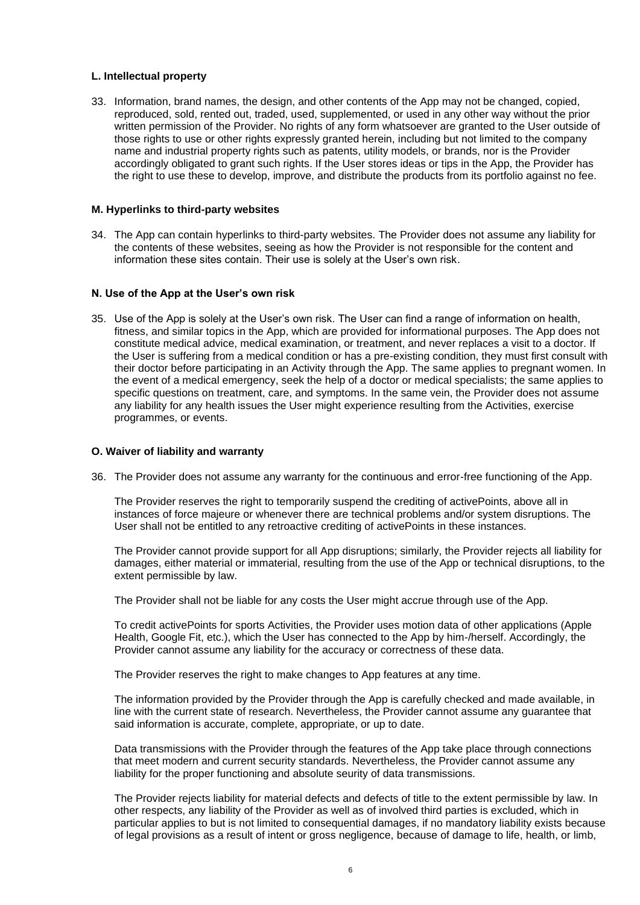## **L. Intellectual property**

33. Information, brand names, the design, and other contents of the App may not be changed, copied, reproduced, sold, rented out, traded, used, supplemented, or used in any other way without the prior written permission of the Provider. No rights of any form whatsoever are granted to the User outside of those rights to use or other rights expressly granted herein, including but not limited to the company name and industrial property rights such as patents, utility models, or brands, nor is the Provider accordingly obligated to grant such rights. If the User stores ideas or tips in the App, the Provider has the right to use these to develop, improve, and distribute the products from its portfolio against no fee.

### **M. Hyperlinks to third-party websites**

34. The App can contain hyperlinks to third-party websites. The Provider does not assume any liability for the contents of these websites, seeing as how the Provider is not responsible for the content and information these sites contain. Their use is solely at the User's own risk.

## **N. Use of the App at the User's own risk**

35. Use of the App is solely at the User's own risk. The User can find a range of information on health, fitness, and similar topics in the App, which are provided for informational purposes. The App does not constitute medical advice, medical examination, or treatment, and never replaces a visit to a doctor. If the User is suffering from a medical condition or has a pre-existing condition, they must first consult with their doctor before participating in an Activity through the App. The same applies to pregnant women. In the event of a medical emergency, seek the help of a doctor or medical specialists; the same applies to specific questions on treatment, care, and symptoms. In the same vein, the Provider does not assume any liability for any health issues the User might experience resulting from the Activities, exercise programmes, or events.

### **O. Waiver of liability and warranty**

36. The Provider does not assume any warranty for the continuous and error-free functioning of the App.

The Provider reserves the right to temporarily suspend the crediting of activePoints, above all in instances of force majeure or whenever there are technical problems and/or system disruptions. The User shall not be entitled to any retroactive crediting of activePoints in these instances.

The Provider cannot provide support for all App disruptions; similarly, the Provider rejects all liability for damages, either material or immaterial, resulting from the use of the App or technical disruptions, to the extent permissible by law.

The Provider shall not be liable for any costs the User might accrue through use of the App.

To credit activePoints for sports Activities, the Provider uses motion data of other applications (Apple Health, Google Fit, etc.), which the User has connected to the App by him-/herself. Accordingly, the Provider cannot assume any liability for the accuracy or correctness of these data.

The Provider reserves the right to make changes to App features at any time.

The information provided by the Provider through the App is carefully checked and made available, in line with the current state of research. Nevertheless, the Provider cannot assume any guarantee that said information is accurate, complete, appropriate, or up to date.

Data transmissions with the Provider through the features of the App take place through connections that meet modern and current security standards. Nevertheless, the Provider cannot assume any liability for the proper functioning and absolute seurity of data transmissions.

The Provider rejects liability for material defects and defects of title to the extent permissible by law. In other respects, any liability of the Provider as well as of involved third parties is excluded, which in particular applies to but is not limited to consequential damages, if no mandatory liability exists because of legal provisions as a result of intent or gross negligence, because of damage to life, health, or limb,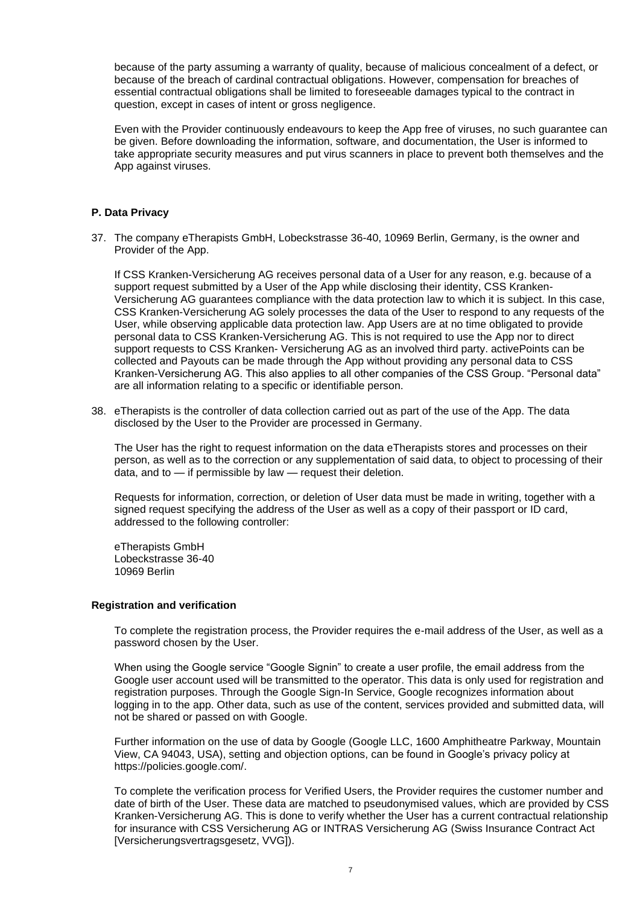because of the party assuming a warranty of quality, because of malicious concealment of a defect, or because of the breach of cardinal contractual obligations. However, compensation for breaches of essential contractual obligations shall be limited to foreseeable damages typical to the contract in question, except in cases of intent or gross negligence.

Even with the Provider continuously endeavours to keep the App free of viruses, no such guarantee can be given. Before downloading the information, software, and documentation, the User is informed to take appropriate security measures and put virus scanners in place to prevent both themselves and the App against viruses.

# **P. Data Privacy**

37. The company eTherapists GmbH, Lobeckstrasse 36-40, 10969 Berlin, Germany, is the owner and Provider of the App.

If CSS Kranken-Versicherung AG receives personal data of a User for any reason, e.g. because of a support request submitted by a User of the App while disclosing their identity, CSS Kranken-Versicherung AG guarantees compliance with the data protection law to which it is subject. In this case, CSS Kranken-Versicherung AG solely processes the data of the User to respond to any requests of the User, while observing applicable data protection law. App Users are at no time obligated to provide personal data to CSS Kranken-Versicherung AG. This is not required to use the App nor to direct support requests to CSS Kranken- Versicherung AG as an involved third party. activePoints can be collected and Payouts can be made through the App without providing any personal data to CSS Kranken-Versicherung AG. This also applies to all other companies of the CSS Group. "Personal data" are all information relating to a specific or identifiable person.

38. eTherapists is the controller of data collection carried out as part of the use of the App. The data disclosed by the User to the Provider are processed in Germany.

The User has the right to request information on the data eTherapists stores and processes on their person, as well as to the correction or any supplementation of said data, to object to processing of their data, and to — if permissible by law — request their deletion.

Requests for information, correction, or deletion of User data must be made in writing, together with a signed request specifying the address of the User as well as a copy of their passport or ID card, addressed to the following controller:

eTherapists GmbH Lobeckstrasse 36-40 10969 Berlin

### **Registration and verification**

To complete the registration process, the Provider requires the e-mail address of the User, as well as a password chosen by the User.

When using the Google service "Google Signin" to create a user profile, the email address from the Google user account used will be transmitted to the operator. This data is only used for registration and registration purposes. Through the Google Sign-In Service, Google recognizes information about logging in to the app. Other data, such as use of the content, services provided and submitted data, will not be shared or passed on with Google.

Further information on the use of data by Google (Google LLC, 1600 Amphitheatre Parkway, Mountain View, CA 94043, USA), setting and objection options, can be found in Google's privacy policy at https://policies.google.com/.

To complete the verification process for Verified Users, the Provider requires the customer number and date of birth of the User. These data are matched to pseudonymised values, which are provided by CSS Kranken-Versicherung AG. This is done to verify whether the User has a current contractual relationship for insurance with CSS Versicherung AG or INTRAS Versicherung AG (Swiss Insurance Contract Act [Versicherungsvertragsgesetz, VVG]).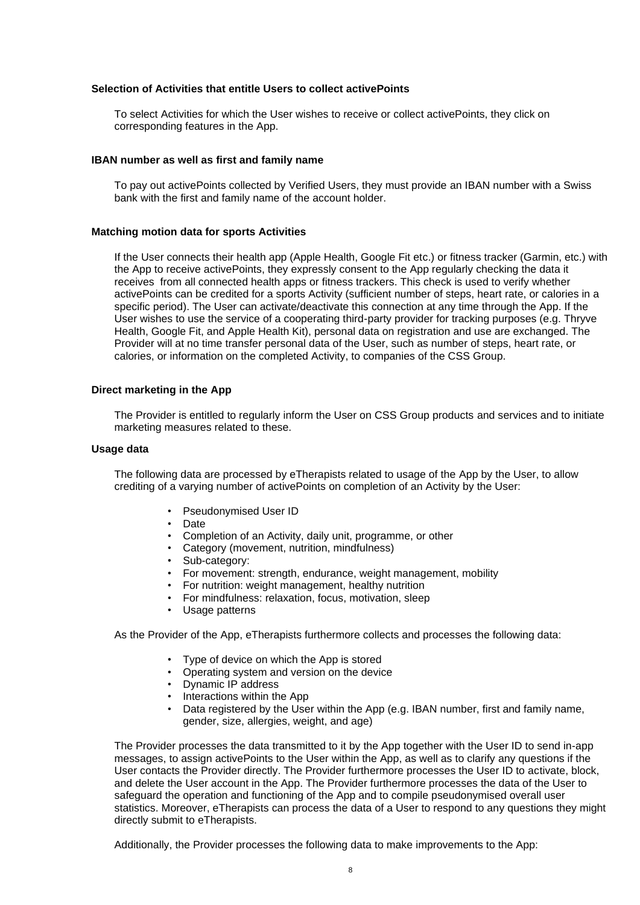### **Selection of Activities that entitle Users to collect activePoints**

To select Activities for which the User wishes to receive or collect activePoints, they click on corresponding features in the App.

#### **IBAN number as well as first and family name**

To pay out activePoints collected by Verified Users, they must provide an IBAN number with a Swiss bank with the first and family name of the account holder.

#### **Matching motion data for sports Activities**

If the User connects their health app (Apple Health, Google Fit etc.) or fitness tracker (Garmin, etc.) with the App to receive activePoints, they expressly consent to the App regularly checking the data it receives from all connected health apps or fitness trackers. This check is used to verify whether activePoints can be credited for a sports Activity (sufficient number of steps, heart rate, or calories in a specific period). The User can activate/deactivate this connection at any time through the App. If the User wishes to use the service of a cooperating third-party provider for tracking purposes (e.g. Thryve Health, Google Fit, and Apple Health Kit), personal data on registration and use are exchanged. The Provider will at no time transfer personal data of the User, such as number of steps, heart rate, or calories, or information on the completed Activity, to companies of the CSS Group.

#### **Direct marketing in the App**

The Provider is entitled to regularly inform the User on CSS Group products and services and to initiate marketing measures related to these.

#### **Usage data**

The following data are processed by eTherapists related to usage of the App by the User, to allow crediting of a varying number of activePoints on completion of an Activity by the User:

- Pseudonymised User ID
- Date
- Completion of an Activity, daily unit, programme, or other
- Category (movement, nutrition, mindfulness)
- Sub-category:
- For movement: strength, endurance, weight management, mobility
- For nutrition: weight management, healthy nutrition
- For mindfulness: relaxation, focus, motivation, sleep
- Usage patterns

As the Provider of the App, eTherapists furthermore collects and processes the following data:

- Type of device on which the App is stored
- Operating system and version on the device
- Dynamic IP address
- Interactions within the App
- Data registered by the User within the App (e.g. IBAN number, first and family name, gender, size, allergies, weight, and age)

The Provider processes the data transmitted to it by the App together with the User ID to send in-app messages, to assign activePoints to the User within the App, as well as to clarify any questions if the User contacts the Provider directly. The Provider furthermore processes the User ID to activate, block, and delete the User account in the App. The Provider furthermore processes the data of the User to safeguard the operation and functioning of the App and to compile pseudonymised overall user statistics. Moreover, eTherapists can process the data of a User to respond to any questions they might directly submit to eTherapists.

Additionally, the Provider processes the following data to make improvements to the App: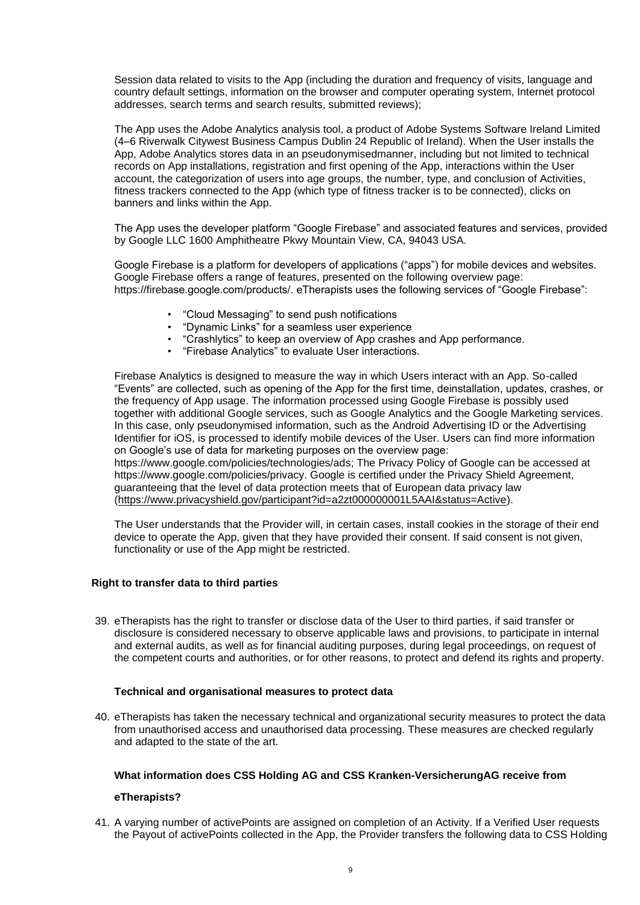Session data related to visits to the App (including the duration and frequency of visits, language and country default settings, information on the browser and computer operating system, Internet protocol addresses, search terms and search results, submitted reviews);

The App uses the Adobe Analytics analysis tool, a product of Adobe Systems Software Ireland Limited (4–6 Riverwalk Citywest Business Campus Dublin 24 Republic of Ireland). When the User installs the App, Adobe Analytics stores data in an pseudonymisedmanner, including but not limited to technical records on App installations, registration and first opening of the App, interactions within the User account, the categorization of users into age groups, the number, type, and conclusion of Activities, fitness trackers connected to the App (which type of fitness tracker is to be connected), clicks on banners and links within the App.

The App uses the developer platform "Google Firebase" and associated features and services, provided by Google LLC 1600 Amphitheatre Pkwy Mountain View, CA, 94043 USA.

Google Firebase is a platform for developers of applications ("apps") for mobile devices and websites. Google Firebase offers a range of features, presented on the following overview page: https://firebase.google.com/products/. eTherapists uses the following services of "Google Firebase":

- "Cloud Messaging" to send push notifications
- "Dynamic Links" for a seamless user experience
- "Crashlytics" to keep an overview of App crashes and App performance.
- "Firebase Analytics" to evaluate User interactions.

Firebase Analytics is designed to measure the way in which Users interact with an App. So-called "Events" are collected, such as opening of the App for the first time, deinstallation, updates, crashes, or the frequency of App usage. The information processed using Google Firebase is possibly used together with additional Google services, such as Google Analytics and the Google Marketing services. In this case, only pseudonymised information, such as the Android Advertising ID or the Advertising Identifier for iOS, is processed to identify mobile devices of the User. Users can find more information on Google's use of data for marketing purposes on the overview page: https://www.google.com/policies/technologies/ads; The Privacy Policy of Google can be accessed at https://www.google.com/policies/privacy. Google is certified under the Privacy Shield Agreement, guaranteeing that the level of data protection meets that of European data privacy law [\(https://www.privacyshield.gov/participant?id=a2zt000000001L5AAI&status=Active\)](https://www.privacyshield.gov/participant?id=a2zt000000001L5AAI&status=Active).

The User understands that the Provider will, in certain cases, install cookies in the storage of their end device to operate the App, given that they have provided their consent. If said consent is not given, functionality or use of the App might be restricted.

### **Right to transfer data to third parties**

39. eTherapists has the right to transfer or disclose data of the User to third parties, if said transfer or disclosure is considered necessary to observe applicable laws and provisions, to participate in internal and external audits, as well as for financial auditing purposes, during legal proceedings, on request of the competent courts and authorities, or for other reasons, to protect and defend its rights and property.

### **Technical and organisational measures to protect data**

40. eTherapists has taken the necessary technical and organizational security measures to protect the data from unauthorised access and unauthorised data processing. These measures are checked regularly and adapted to the state of the art.

# **What information does CSS Holding AG and CSS Kranken-VersicherungAG receive from**

### **eTherapists?**

41. A varying number of activePoints are assigned on completion of an Activity. If a Verified User requests the Payout of activePoints collected in the App, the Provider transfers the following data to CSS Holding